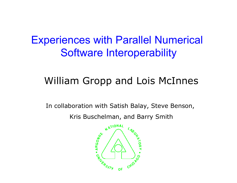#### Experiences with Parallel Numerical Software Interoperability

#### William Gropp and Lois McInnes

In collaboration with Satish Balay, Steve Benson, Kris Buschelman, and Barry Smith

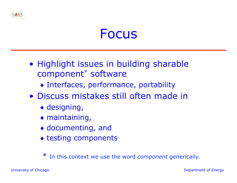#### Focus

- Highlight issues in building sharable component\* software
	- ♦ Interfaces, performance, portability
- Discuss mistakes still often made in
	- ♦ designing,
	- $\bullet$  maintaining,
	- ♦ documenting, and
	- ♦ testing components

In this context we use the word *component* generically.

University of Chicago **Department of Energy**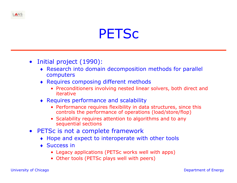#### **PETSC**

- Initial project (1990):
	- ♦ Research into domain decomposition methods for parallel computers
	- ♦ Requires composing different methods
		- Preconditioners involving nested linear solvers, both direct and iterative
	- ♦ Requires performance and scalability
		- Performance requires flexibility in data structures, since this controls the performance of operations (load/store/flop)
		- Scalability requires attention to algorithms and to any sequential sections
- PETSc is not a complete framework
	- ♦ Hope and expect to interoperate with other tools
	- Success in
		- Legacy applications (PETSc works well with apps)
		- Other tools (PETSc plays well with peers)

ANS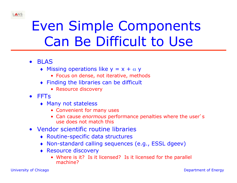

# Even Simple Components Can Be Difficult to Use

- BLAS
	- $\triangleleft$  Missing operations like  $y = x + \alpha y$ 
		- Focus on dense, not iterative, methods
	- ♦ Finding the libraries can be difficult
		- Resource discovery
- FFTs
	- ♦ Many not stateless
		- Convenient for many uses
		- Can cause *enormous* performance penalties where the user's use does not match this
- Vendor scientific routine libraries
	- ♦ Routine-specific data structures
	- ♦ Non-standard calling sequences (e.g., ESSL dgeev)
	- ♦ Resource discovery
		- Where is it? Is it licensed? Is it licensed for the parallel machine?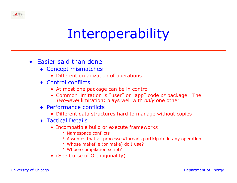# Interoperability

- Easier said than done
	- ♦ Concept mismatches
		- Different organization of operations
	- ♦ Control conflicts
		- At most one package can be in control
		- Common limitation is "user" or "app" code *or* package. The *Two-level* limitation: plays well with *only* one other
	- ♦ Performance conflicts
		- Different data structures hard to manage without copies
	- ♦ Tactical Details
		- Incompatible build or execute frameworks
			- **Namespace conflicts**
			- 8 Assumes that all processes/threads participate in any operation
			- \* Whose makefile (or make) do I use?
			- \* Whose compilation script?
		- (See Curse of Orthogonality)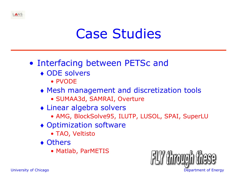

#### • Interfacing between PETSc and

- ♦ ODE solvers
	- PVODE
- ♦ Mesh management and discretization tools
	- SUMAA3d, SAMRAI, Overture
- ♦ Linear algebra solvers
	- AMG, BlockSolve95, ILUTP, LUSOL, SPAI, SuperLU
- ♦ Optimization software
	- TAO, Veltisto
- ♦ Others
	- Matlab, ParMETIS



ANS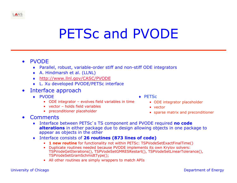### PETSc and PVODE

- PVODE
	- ♦ Parallel, robust, variable-order stiff and non-stiff ODE integrators
	- ♦ A. Hindmarsh et al. (LLNL)
	- ♦ http://www.llnl.gov/CASC/PVODE
	- **L. Xu developed PVODE/PETSc interface**
- Interface approach
	- ♦ PVODE
		- ODE integrator evolves field variables in time
		- vector holds field variables
		- preconditioner placeholder
- Comments
	- Interface between PETSc's TS component and PVODE required **no code alterations** in either package due to design allowing objects in one package to appear as objects in the other
	- ♦ Interface consists of **26 routines (873 lines of code)** 
		- 1 new routine for functionality not within PETSc: TSPVodeSetExactFinalTime()
		- Duplicate routines needed because PVODE implements its own Krylov solvers: TSPVodeGetIterations(), TSPVodeSetGMRESRestart(), TSPVodeSetLinearTolerance(), TSPVodeSetGramSchmidtType();
		- All other routines are simply wrappers to match APIs



- ODE integrator placeholder
- vector
- sparse matrix and preconditioner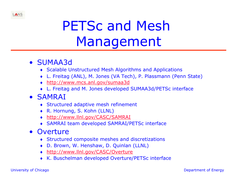# PETSc and Mesh Management

#### • SUMAA3d

- ♦ Scalable Unstructured Mesh Algorithms and Applications
- ♦ L. Freitag (ANL), M. Jones (VA Tech), P. Plassmann (Penn State)
- ♦ http://www.mcs.anl.gov/sumaa3d
- ♦ L. Freitag and M. Jones developed SUMAA3d/PETSc interface

#### • SAMRAI

- ♦ Structured adaptive mesh refinement
- ♦ R. Hornung, S. Kohn (LLNL)
- ♦ http://www.llnl.gov/CASC/SAMRAI
- ♦ SAMRAI team developed SAMRAI/PETSc interface

#### • Overture

- ♦ Structured composite meshes and discretizations
- ♦ D. Brown, W. Henshaw, D. Quinlan (LLNL)
- ♦ http://www.llnl.gov/CASC/Overture
- ♦ K. Buschelman developed Overture/PETSc interface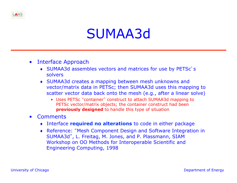

- Interface Approach
	- ♦ SUMAA3d assembles vectors and matrices for use by PETSc's solvers
	- ♦ SUMAA3d creates a mapping between mesh unknowns and vector/matrix data in PETSc; then SUMAA3d uses this mapping to scatter vector data back onto the mesh (e.g., after a linear solve)
		- Uses PETSc "container" construct to attach SUMAA3d mapping to PETSc vector/matrix objects; the container construct had been **previously designed** to handle this type of situation
- Comments
	- ♦ Interface **required no alterations** to code in either package
	- ♦ Reference: "Mesh Component Design and Software Integration in SUMAA3d", L. Freitag, M. Jones, and P. Plassmann, SIAM Workshop on OO Methods for Interoperable Scientific and Engineering Computing, 1998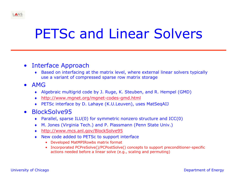### PETSc and Linear Solvers

#### • Interface Approach

- ♦ Based on interfacing at the matrix level, where external linear solvers typically use a variant of compressed sparse row matrix storage
- AMG
	- ♦ Algebraic multigrid code by J. Ruge, K. Steuben, and R. Hempel (GMD)
	- ♦ http://www.mgnet.org/mgnet-codes-gmd.html
	- ♦ PETSc interface by D. Lahaye (K.U.Leuven), uses MatSeqAIJ
- BlockSolve95
	- ♦ Parallel, sparse ILU(0) for symmetric nonzero structure and ICC(0)
	- ♦ M. Jones (Virginia Tech.) and P. Plassmann (Penn State Univ.)
	- ♦ http://www.mcs.anl.gov/BlockSolve95
	- ♦ New code added to PETSc to support interface
		- Developed MatMPIRowbs matrix format
		- Incorporated PCPreSolve()/PCPostSolve() concepts to support preconditioner-specific actions needed before a linear solve (e.g., scaling and permuting)

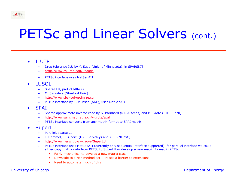### PETSc and Linear Solvers (cont.)

#### • ILUTP

- Drop tolerance ILU by Y. Saad (Univ. of Minnesota), in SPARSKIT
- http://www.cs.umn.edu/~saad/
- PETSc interface uses MatSeqAIJ
- LUSOL
	- ♦ Sparse LU, part of MINOS
	- ♦ M. Saunders (Stanford Univ)
	- http://www.sbsi-sol-optimize.com
	- ♦ PETSc interface by T. Munson (ANL), uses MatSeqAIJ
- SPAI
	- ♦ Sparse approximate inverse code by S. Barnhard (NASA Ames) and M. Grote (ETH Zurich)
	- ♦ http://www.sam.math.ethz.ch/~grote/spai
	- ♦ PETSc interface converts from any matrix format to SPAI matrix

#### **SuperLU**

- ♦ Parallel, sparse LU
- ♦ J. Demmel, J. Gilbert, (U.C. Berkeley) and X. Li (NERSC)
- http://www.nersc.gov/~xiaoye/SuperLU
- PETSc interface uses MatSeqAIJ (currently only sequential interface supported); for parallel interface we could either copy matrix data from PETSc to SuperLU or develop a new matrix format in PETSc
	- Fairly mechanical to develop a new matrix class
	- Downside to a rich method set raises a barrier to extensions
	- Need to automate much of this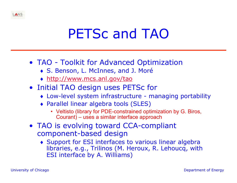# PETSc and TAO

- TAO Toolkit for Advanced Optimization
	- ♦ S. Benson, L. McInnes, and J. Moré
	- ♦ http://www.mcs.anl.gov/tao
- Initial TAO design uses PETSc for
	- ♦ Low-level system infrastructure managing portability
	- ♦ Parallel linear algebra tools (SLES)
		- Veltisto (library for PDE-constrained optimization by G. Biros, Courant) – uses a similar interface approach
- TAO is evolving toward CCA-compliant component-based design
	- ♦ Support for ESI interfaces to various linear algebra libraries, e.g., Trilinos (M. Heroux, R. Lehoucq, with ESI interface by A. Williams)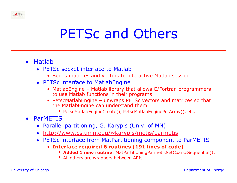### PETSc and Others

- Matlab
	- ♦ PETSc socket interface to Matlab
		- Sends matrices and vectors to interactive Matlab session
	- ◆ PETSc interface to MatlabEngine
		- MatlabEngine Matlab library that allows C/Fortran programmers to use Matlab functions in their programs
		- PetscMatlabEngine unwraps PETSc vectors and matrices so that the MatlabEngine can understand them
			- 8 PetscMatlabEngineCreate(), PetscMatlabEnginePutArray(), etc.
- ParMETIS
	- ♦ Parallel partitioning, G. Karypis (Univ. of MN)
	- ♦ http://www.cs.umn.edu/~karypis/metis/parmetis
	- ♦ PETSc interface from MatPartitioning component to ParMETIS
		- **Interface required 6 routines (191 lines of code)** 
			- 8 **Added 1 new routine**: MatPartitioningParmetisSetCoarseSequential();
			- \* All others are wrappers between APIs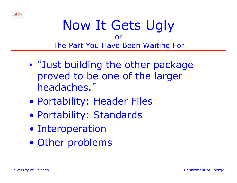

#### Now It Gets Ugly or The Part You Have Been Waiting For

- "Just building the other package proved to be one of the larger headaches."
- Portability: Header Files
- Portability: Standards
- Interoperation
- Other problems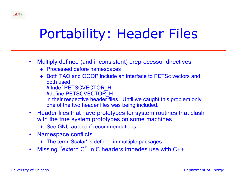# Portability: Header Files

- Multiply defined (and inconsistent) preprocessor directives
	- ♦ Processed before namespaces
	- ♦ Both TAO and OOQP include an interface to PETSc vectors and both used #ifndef PETSCVECTOR\_H #define PETSCVECTOR\_H in their respective header files. Until we caught this problem only one of the two header files was being included.
- Header files that have prototypes for system routines that clash with the true system prototypes on some machines
	- ◆ See GNU autoconf recommendations
- Namespace conflicts.
	- ♦ The term 'Scalar' is defined in multiple packages.
- Missing "extern C" in C headers impedes use with C++.

ANS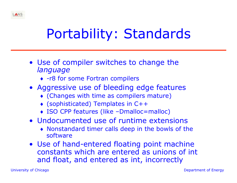

# Portability: Standards

- Use of compiler switches to change the *language* 
	- ♦ -r8 for some Fortran compilers
- Aggressive use of bleeding edge features
	- ♦ (Changes with time as compilers mature)
	- ♦ (sophisticated) Templates in C++
	- ♦ ISO CPP features (like –Dmalloc=malloc)
- Undocumented use of runtime extensions
	- ♦ Nonstandard timer calls deep in the bowls of the software
- Use of hand-entered floating point machine constants which are entered as unions of int and float, and entered as int, incorrectly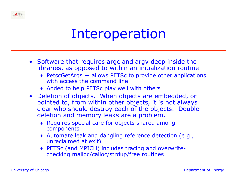#### Interoperation

- Software that requires argc and argv deep inside the libraries, as opposed to within an initialization routine
	- ♦ PetscGetArgs allows PETSc to provide other applications with access the command line
	- ♦ Added to help PETSc play well with others
- Deletion of objects. When objects are embedded, or pointed to, from within other objects, it is not always clear who should destroy each of the objects. Double deletion and memory leaks are a problem.
	- ♦ Requires special care for objects shared among components
	- ♦ Automate leak and dangling reference detection (e.g., unreclaimed at exit)
	- ♦ PETSc (and MPICH) includes tracing and overwritechecking malloc/calloc/strdup/free routines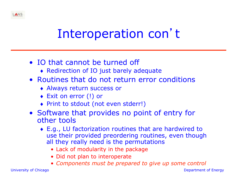

- IO that cannot be turned off
	- ♦ Redirection of IO just barely adequate
- Routines that do not return error conditions
	- ♦ Always return success or
	- ♦ Exit on error (!) or
	- ♦ Print to stdout (not even stderr!)
- Software that provides no point of entry for other tools
	- ♦ E.g., LU factorization routines that are hardwired to use their provided preordering routines, even though all they really need is the permutations
		- Lack of modularity in the package
		- Did not plan to interoperate
		- *Components must be prepared to give up some control*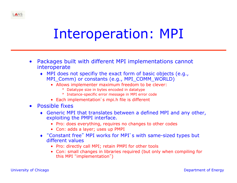

- Packages built with different MPI implementations cannot interoperate
	- ♦ MPI does not specifiy the exact form of basic objects (e.g., MPI\_Comm) or constants (e.g., MPI\_COMM\_WORLD)
		- Allows implementer maximum freedom to be clever:
			- Batatype size in bytes encoded in datatype
			- **B** Instance-specific error message in MPI error code
		- Each implementation's mpi.h file is different
- Possible fixes
	- ♦ Generic MPI that translates between a defined MPI and any other, exploiting the PMPI interface.
		- Pro: does everything, requires no changes to other codes
		- Con: adds a layer; uses up PMPI
	- ♦ "Constant free" MPI works for MPI's with same-sized types but different values
		- Pro: directly call MPI; retain PMPI for other tools
		- Con: small changes in libraries required (but only when compiling for this MPI "implementation")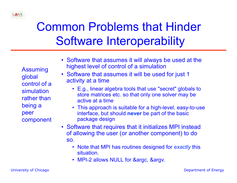#### Common Problems that Hinder Software Interoperability

Assuming global control of a simulation rather than being a peer component

- Software that assumes it will always be used at the highest level of control of a simulation
- Software that assumes it will be used for just 1 activity at a time
	- E.g., linear algebra tools that use "secret" globals to store matrices etc. so that only one solver may be active at a time
	- This approach is suitable for a high-level, easy-to-use interface, but should **never** be part of the basic package design
- Software that requires that it initializes MPI instead of allowing the user (or another component) to do so.
	- Note that MPI has routines designed for *exactly* this situation.
	- MPI-2 allows NULL for &argc, &argv.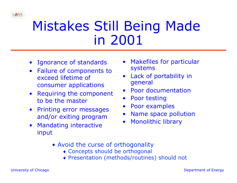

### Mistakes Still Being Made in 2001

- Ignorance of standards
- Failure of components to exceed lifetime of consumer applications
- Requiring the component to be the master
- Printing error messages and/or exiting program
- Mandating interactive input
- Makefiles for particular systems
- Lack of portability in general
- Poor documentation
- Poor testing
- Poor examples
- Name space pollution
- Monolithic library
- Avoid the curse of orthogonality
	- ♦ Concepts should be orthogonal
	- ♦ Presentation (methods/routines) should not